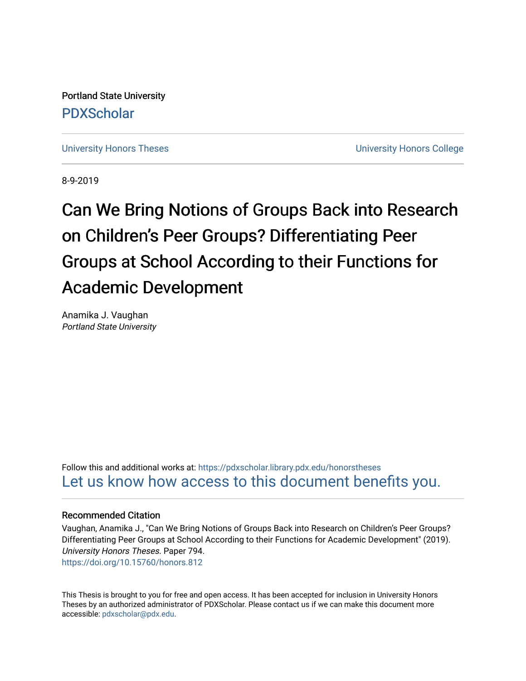Portland State University [PDXScholar](https://pdxscholar.library.pdx.edu/)

[University Honors Theses](https://pdxscholar.library.pdx.edu/honorstheses) **University Honors College** 

8-9-2019

# Can We Bring Notions of Groups Back into Research on Children's Peer Groups? Differentiating Peer Groups at School According to their Functions for Academic Development

Anamika J. Vaughan Portland State University

Follow this and additional works at: [https://pdxscholar.library.pdx.edu/honorstheses](https://pdxscholar.library.pdx.edu/honorstheses?utm_source=pdxscholar.library.pdx.edu%2Fhonorstheses%2F794&utm_medium=PDF&utm_campaign=PDFCoverPages)  [Let us know how access to this document benefits you.](http://library.pdx.edu/services/pdxscholar-services/pdxscholar-feedback/) 

#### Recommended Citation

Vaughan, Anamika J., "Can We Bring Notions of Groups Back into Research on Children's Peer Groups? Differentiating Peer Groups at School According to their Functions for Academic Development" (2019). University Honors Theses. Paper 794. <https://doi.org/10.15760/honors.812>

This Thesis is brought to you for free and open access. It has been accepted for inclusion in University Honors Theses by an authorized administrator of PDXScholar. Please contact us if we can make this document more accessible: [pdxscholar@pdx.edu.](mailto:pdxscholar@pdx.edu)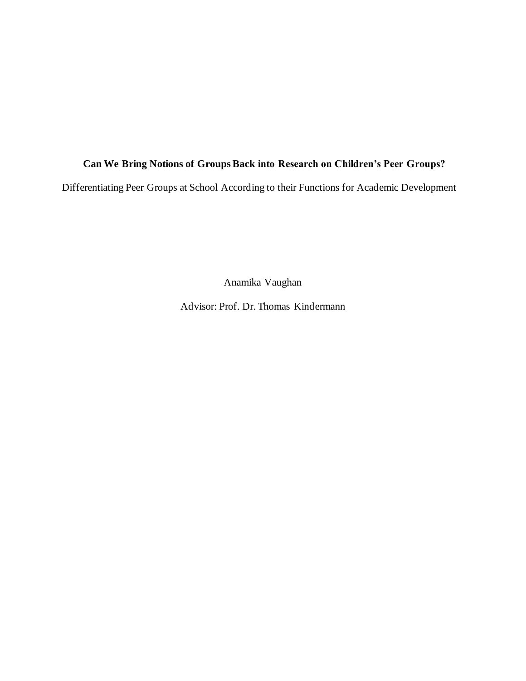### **Can We Bring Notions of Groups Back into Research on Children's Peer Groups?**

Differentiating Peer Groups at School According to their Functions for Academic Development

Anamika Vaughan

Advisor: Prof. Dr. Thomas Kindermann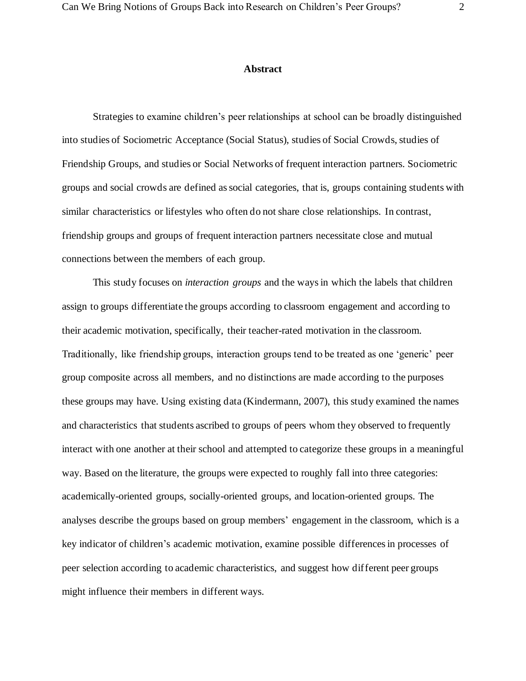#### **Abstract**

Strategies to examine children's peer relationships at school can be broadly distinguished into studies of Sociometric Acceptance (Social Status), studies of Social Crowds, studies of Friendship Groups, and studies or Social Networks of frequent interaction partners. Sociometric groups and social crowds are defined as social categories, that is, groups containing students with similar characteristics or lifestyles who often do not share close relationships. In contrast, friendship groups and groups of frequent interaction partners necessitate close and mutual connections between the members of each group.

This study focuses on *interaction groups* and the ways in which the labels that children assign to groups differentiate the groups according to classroom engagement and according to their academic motivation, specifically, their teacher-rated motivation in the classroom. Traditionally, like friendship groups, interaction groups tend to be treated as one 'generic' peer group composite across all members, and no distinctions are made according to the purposes these groups may have. Using existing data (Kindermann, 2007), this study examined the names and characteristics that students ascribed to groups of peers whom they observed to frequently interact with one another at their school and attempted to categorize these groups in a meaningful way. Based on the literature, the groups were expected to roughly fall into three categories: academically-oriented groups, socially-oriented groups, and location-oriented groups. The analyses describe the groups based on group members' engagement in the classroom, which is a key indicator of children's academic motivation, examine possible differences in processes of peer selection according to academic characteristics, and suggest how different peer groups might influence their members in different ways.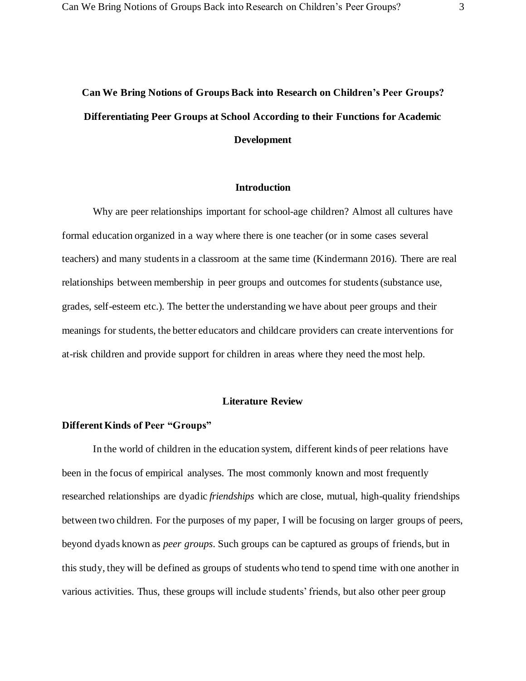## **Can We Bring Notions of Groups Back into Research on Children's Peer Groups? Differentiating Peer Groups at School According to their Functions for Academic Development**

#### **Introduction**

Why are peer relationships important for school-age children? Almost all cultures have formal education organized in a way where there is one teacher (or in some cases several teachers) and many students in a classroom at the same time (Kindermann 2016). There are real relationships between membership in peer groups and outcomes for students (substance use, grades, self-esteem etc.). The better the understanding we have about peer groups and their meanings for students, the better educators and childcare providers can create interventions for at-risk children and provide support for children in areas where they need the most help.

#### **Literature Review**

#### **Different Kinds of Peer "Groups"**

In the world of children in the education system, different kinds of peer relations have been in the focus of empirical analyses. The most commonly known and most frequently researched relationships are dyadic *friendships* which are close, mutual, high-quality friendships between two children. For the purposes of my paper, I will be focusing on larger groups of peers, beyond dyads known as *peer groups*. Such groups can be captured as groups of friends, but in this study, they will be defined as groups of students who tend to spend time with one another in various activities. Thus, these groups will include students' friends, but also other peer group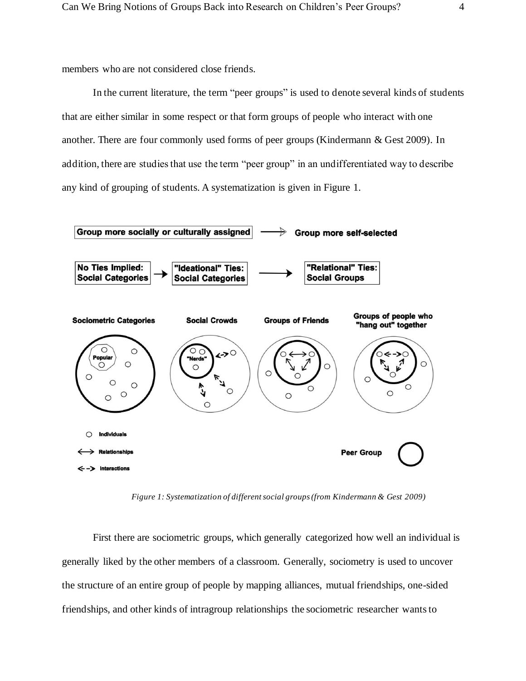members who are not considered close friends.

In the current literature, the term "peer groups" is used to denote several kinds of students that are either similar in some respect or that form groups of people who interact with one another. There are four commonly used forms of peer groups (Kindermann & Gest 2009). In addition, there are studies that use the term "peer group" in an undifferentiated way to describe any kind of grouping of students. A systematization is given in Figure 1.



*Figure 1: Systematization of different social groups (from Kindermann & Gest 2009)*

First there are sociometric groups, which generally categorized how well an individual is generally liked by the other members of a classroom. Generally, sociometry is used to uncover the structure of an entire group of people by mapping alliances, mutual friendships, one-sided friendships, and other kinds of intragroup relationships the sociometric researcher wants to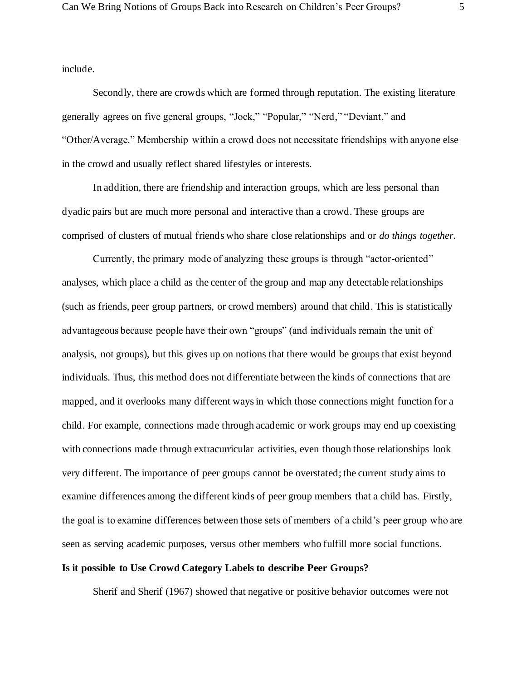include.

Secondly, there are crowds which are formed through reputation. The existing literature generally agrees on five general groups, "Jock," "Popular," "Nerd," "Deviant," and "Other/Average." Membership within a crowd does not necessitate friendships with anyone else in the crowd and usually reflect shared lifestyles or interests.

In addition, there are friendship and interaction groups, which are less personal than dyadic pairs but are much more personal and interactive than a crowd. These groups are comprised of clusters of mutual friends who share close relationships and or *do things together*.

Currently, the primary mode of analyzing these groups is through "actor-oriented" analyses, which place a child as the center of the group and map any detectable relationships (such as friends, peer group partners, or crowd members) around that child. This is statistically advantageous because people have their own "groups" (and individuals remain the unit of analysis, not groups), but this gives up on notions that there would be groups that exist beyond individuals. Thus, this method does not differentiate between the kinds of connections that are mapped, and it overlooks many different ways in which those connections might function for a child. For example, connections made through academic or work groups may end up coexisting with connections made through extracurricular activities, even though those relationships look very different. The importance of peer groups cannot be overstated; the current study aims to examine differences among the different kinds of peer group members that a child has. Firstly, the goal is to examine differences between those sets of members of a child's peer group who are seen as serving academic purposes, versus other members who fulfill more social functions.

#### **Is it possible to Use Crowd Category Labels to describe Peer Groups?**

Sherif and Sherif (1967) showed that negative or positive behavior outcomes were not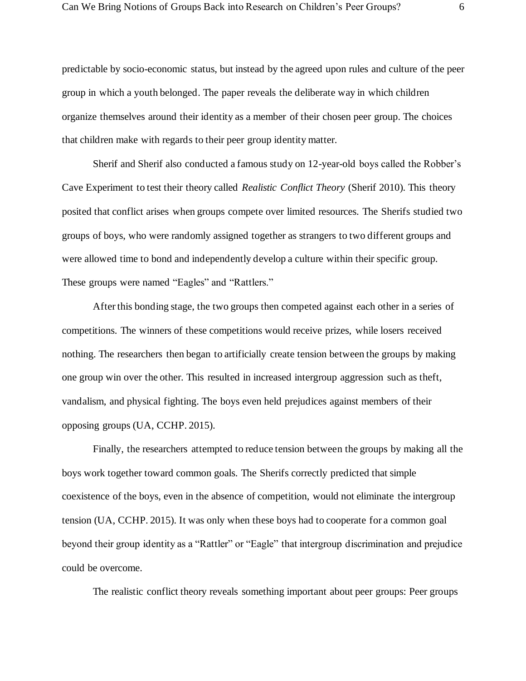predictable by socio-economic status, but instead by the agreed upon rules and culture of the peer group in which a youth belonged. The paper reveals the deliberate way in which children organize themselves around their identity as a member of their chosen peer group. The choices that children make with regards to their peer group identity matter.

 Sherif and Sherif also conducted a famous study on 12-year-old boys called the Robber's Cave Experiment to test their theory called *Realistic Conflict Theory* (Sherif 2010). This theory posited that conflict arises when groups compete over limited resources. The Sherifs studied two groups of boys, who were randomly assigned together as strangers to two different groups and were allowed time to bond and independently develop a culture within their specific group. These groups were named "Eagles" and "Rattlers."

After this bonding stage, the two groups then competed against each other in a series of competitions. The winners of these competitions would receive prizes, while losers received nothing. The researchers then began to artificially create tension between the groups by making one group win over the other. This resulted in increased intergroup aggression such as theft, vandalism, and physical fighting. The boys even held prejudices against members of their opposing groups (UA, CCHP. 2015).

 Finally, the researchers attempted to reduce tension between the groups by making all the boys work together toward common goals. The Sherifs correctly predicted that simple coexistence of the boys, even in the absence of competition, would not eliminate the intergroup tension (UA, CCHP. 2015). It was only when these boys had to cooperate for a common goal beyond their group identity as a "Rattler" or "Eagle" that intergroup discrimination and prejudice could be overcome.

The realistic conflict theory reveals something important about peer groups: Peer groups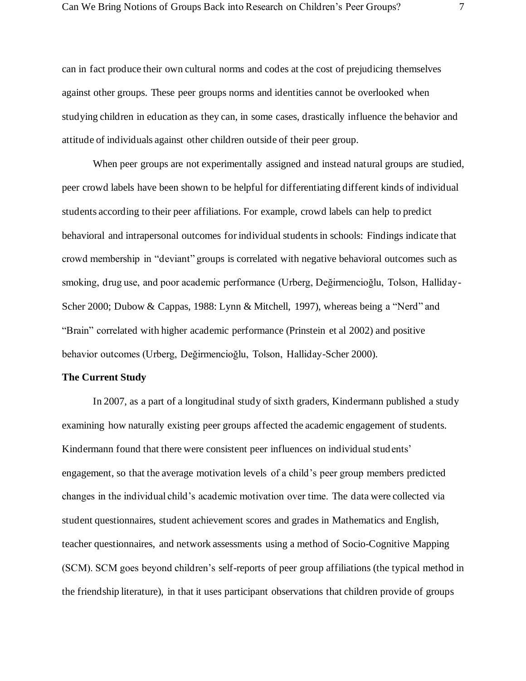can in fact produce their own cultural norms and codes at the cost of prejudicing themselves against other groups. These peer groups norms and identities cannot be overlooked when studying children in education as they can, in some cases, drastically influence the behavior and attitude of individuals against other children outside of their peer group.

When peer groups are not experimentally assigned and instead natural groups are studied, peer crowd labels have been shown to be helpful for differentiating different kinds of individual students according to their peer affiliations. For example, crowd labels can help to predict behavioral and intrapersonal outcomes for individual students in schools: Findings indicate that crowd membership in "deviant" groups is correlated with negative behavioral outcomes such as smoking, drug use, and poor academic performance (Urberg, Değirmencioğlu, Tolson, Halliday-Scher 2000; Dubow & Cappas, 1988: Lynn & Mitchell, 1997), whereas being a "Nerd" and "Brain" correlated with higher academic performance (Prinstein et al 2002) and positive behavior outcomes (Urberg, Değirmencioğlu, Tolson, Halliday-Scher 2000).

#### **The Current Study**

 In 2007, as a part of a longitudinal study of sixth graders, Kindermann published a study examining how naturally existing peer groups affected the academic engagement of students. Kindermann found that there were consistent peer influences on individual students' engagement, so that the average motivation levels of a child's peer group members predicted changes in the individual child's academic motivation over time. The data were collected via student questionnaires, student achievement scores and grades in Mathematics and English, teacher questionnaires, and network assessments using a method of Socio-Cognitive Mapping (SCM). SCM goes beyond children's self-reports of peer group affiliations (the typical method in the friendship literature), in that it uses participant observations that children provide of groups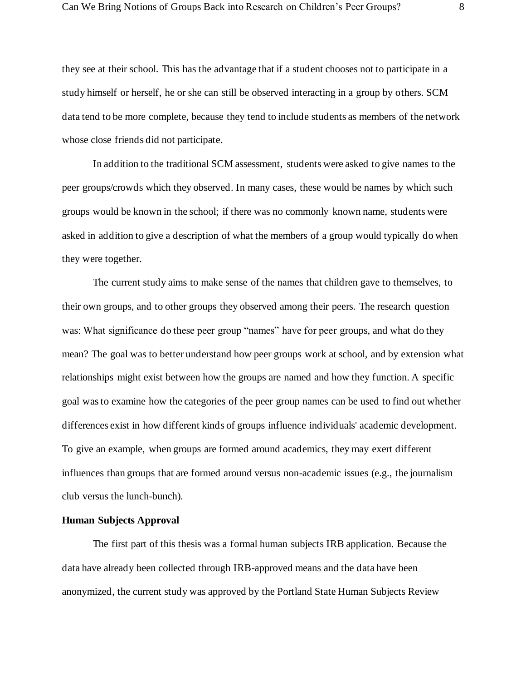they see at their school. This has the advantage that if a student chooses not to participate in a study himself or herself, he or she can still be observed interacting in a group by others. SCM data tend to be more complete, because they tend to include students as members of the network whose close friends did not participate.

In addition to the traditional SCM assessment, students were asked to give names to the peer groups/crowds which they observed. In many cases, these would be names by which such groups would be known in the school; if there was no commonly known name, students were asked in addition to give a description of what the members of a group would typically do when they were together.

 The current study aims to make sense of the names that children gave to themselves, to their own groups, and to other groups they observed among their peers. The research question was: What significance do these peer group "names" have for peer groups, and what do they mean? The goal was to better understand how peer groups work at school, and by extension what relationships might exist between how the groups are named and how they function. A specific goal was to examine how the categories of the peer group names can be used to find out whether differences exist in how different kinds of groups influence individuals' academic development. To give an example, when groups are formed around academics, they may exert different influences than groups that are formed around versus non-academic issues (e.g., the journalism club versus the lunch-bunch).

#### **Human Subjects Approval**

The first part of this thesis was a formal human subjects IRB application. Because the data have already been collected through IRB-approved means and the data have been anonymized, the current study was approved by the Portland State Human Subjects Review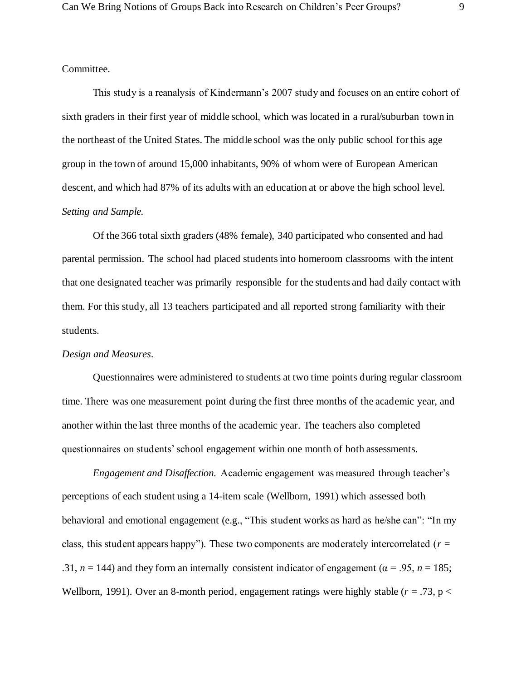#### Committee.

This study is a reanalysis of Kindermann's 2007 study and focuses on an entire cohort of sixth graders in their first year of middle school, which was located in a rural/suburban town in the northeast of the United States. The middle school was the only public school for this age group in the town of around 15,000 inhabitants, 90% of whom were of European American descent, and which had 87% of its adults with an education at or above the high school level. *Setting and Sample.* 

Of the 366 total sixth graders (48% female), 340 participated who consented and had parental permission. The school had placed students into homeroom classrooms with the intent that one designated teacher was primarily responsible for the students and had daily contact with them. For this study, all 13 teachers participated and all reported strong familiarity with their students.

#### *Design and Measures*.

Questionnaires were administered to students at two time points during regular classroom time. There was one measurement point during the first three months of the academic year, and another within the last three months of the academic year. The teachers also completed questionnaires on students' school engagement within one month of both assessments.

*Engagement and Disaffection.* Academic engagement was measured through teacher's perceptions of each student using a 14-item scale (Wellborn, 1991) which assessed both behavioral and emotional engagement (e.g., "This student works as hard as he/she can": "In my class, this student appears happy"). These two components are moderately intercorrelated  $(r =$ .31,  $n = 144$ ) and they form an internally consistent indicator of engagement ( $\alpha = .95$ ,  $n = 185$ ; Wellborn, 1991). Over an 8-month period, engagement ratings were highly stable  $(r = .73, p <$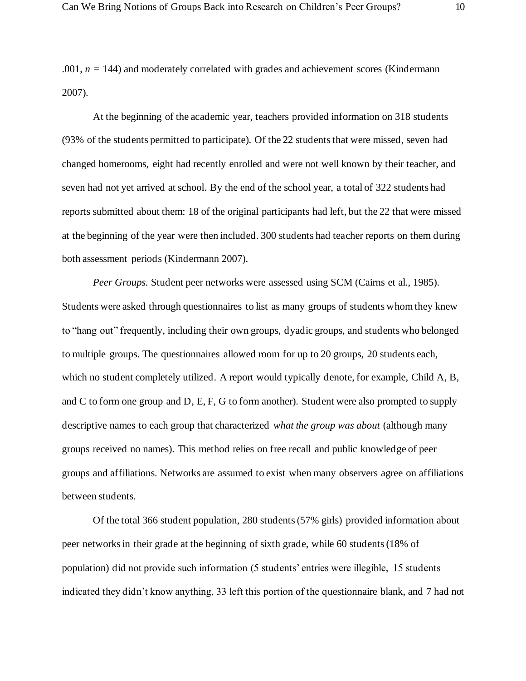$.001, n = 144$ ) and moderately correlated with grades and achievement scores (Kindermann 2007).

At the beginning of the academic year, teachers provided information on 318 students (93% of the students permitted to participate). Of the 22 students that were missed, seven had changed homerooms, eight had recently enrolled and were not well known by their teacher, and seven had not yet arrived at school. By the end of the school year, a total of 322 students had reports submitted about them: 18 of the original participants had left, but the 22 that were missed at the beginning of the year were then included. 300 students had teacher reports on them during both assessment periods (Kindermann 2007).

*Peer Groups.* Student peer networks were assessed using SCM (Cairns et al., 1985). Students were asked through questionnaires to list as many groups of students whom they knew to "hang out" frequently, including their own groups, dyadic groups, and students who belonged to multiple groups. The questionnaires allowed room for up to 20 groups, 20 students each, which no student completely utilized. A report would typically denote, for example, Child A, B, and C to form one group and D, E, F, G to form another). Student were also prompted to supply descriptive names to each group that characterized *what the group was about* (although many groups received no names). This method relies on free recall and public knowledge of peer groups and affiliations. Networks are assumed to exist when many observers agree on affiliations between students.

Of the total 366 student population, 280 students (57% girls) provided information about peer networks in their grade at the beginning of sixth grade, while 60 students (18% of population) did not provide such information (5 students' entries were illegible, 15 students indicated they didn't know anything, 33 left this portion of the questionnaire blank, and 7 had not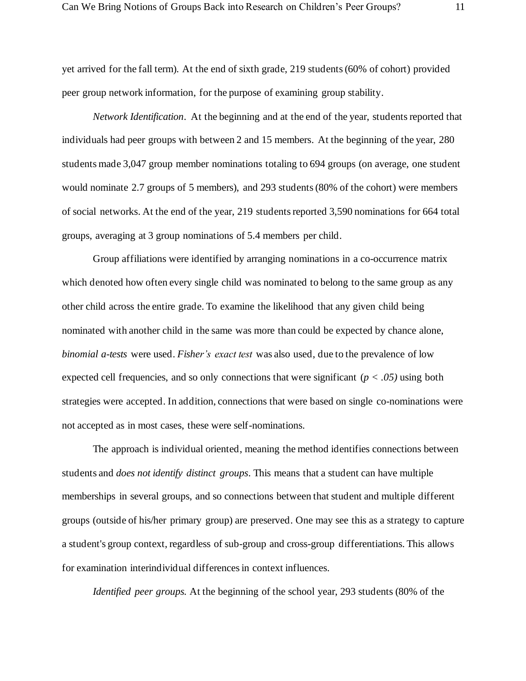yet arrived for the fall term). At the end of sixth grade, 219 students (60% of cohort) provided peer group network information, for the purpose of examining group stability.

*Network Identification*. At the beginning and at the end of the year, students reported that individuals had peer groups with between 2 and 15 members. At the beginning of the year, 280 students made 3,047 group member nominations totaling to 694 groups (on average, one student would nominate 2.7 groups of 5 members), and 293 students (80% of the cohort) were members of social networks. At the end of the year, 219 students reported 3,590 nominations for 664 total groups, averaging at 3 group nominations of 5.4 members per child.

Group affiliations were identified by arranging nominations in a co-occurrence matrix which denoted how often every single child was nominated to belong to the same group as any other child across the entire grade. To examine the likelihood that any given child being nominated with another child in the same was more than could be expected by chance alone, *binomial a-tests* were used. *Fisher's exact test* was also used, due to the prevalence of low expected cell frequencies, and so only connections that were significant (*p < .05)* using both strategies were accepted. In addition, connections that were based on single co-nominations were not accepted as in most cases, these were self-nominations.

The approach is individual oriented, meaning the method identifies connections between students and *does not identify distinct groups*. This means that a student can have multiple memberships in several groups, and so connections between that student and multiple different groups (outside of his/her primary group) are preserved. One may see this as a strategy to capture a student's group context, regardless of sub-group and cross-group differentiations. This allows for examination interindividual differences in context influences.

*Identified peer groups.* At the beginning of the school year, 293 students (80% of the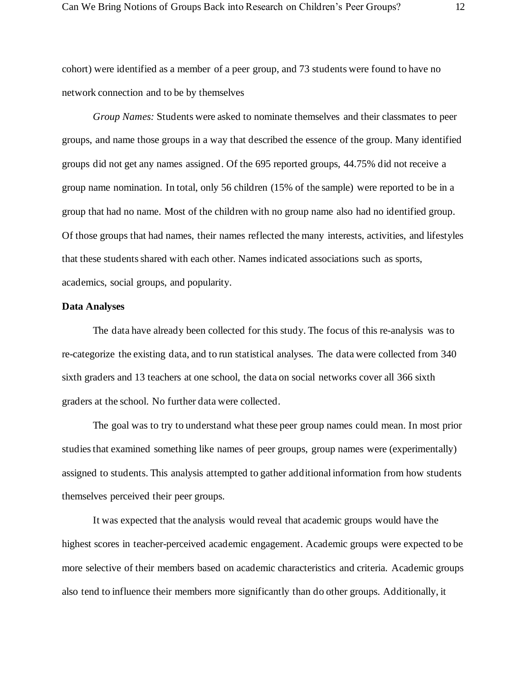cohort) were identified as a member of a peer group, and 73 students were found to have no network connection and to be by themselves

*Group Names:* Students were asked to nominate themselves and their classmates to peer groups, and name those groups in a way that described the essence of the group. Many identified groups did not get any names assigned. Of the 695 reported groups, 44.75% did not receive a group name nomination. In total, only 56 children (15% of the sample) were reported to be in a group that had no name. Most of the children with no group name also had no identified group. Of those groups that had names, their names reflected the many interests, activities, and lifestyles that these students shared with each other. Names indicated associations such as sports, academics, social groups, and popularity.

#### **Data Analyses**

 The data have already been collected for this study. The focus of this re-analysis was to re-categorize the existing data, and to run statistical analyses. The data were collected from 340 sixth graders and 13 teachers at one school, the data on social networks cover all 366 sixth graders at the school. No further data were collected.

The goal was to try to understand what these peer group names could mean. In most prior studies that examined something like names of peer groups, group names were (experimentally) assigned to students. This analysis attempted to gather additional information from how students themselves perceived their peer groups.

It was expected that the analysis would reveal that academic groups would have the highest scores in teacher-perceived academic engagement. Academic groups were expected to be more selective of their members based on academic characteristics and criteria. Academic groups also tend to influence their members more significantly than do other groups. Additionally, it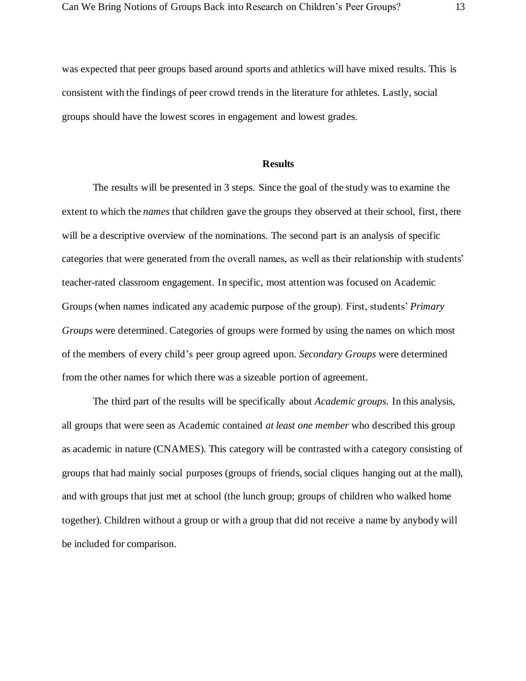was expected that peer groups based around sports and athletics will have mixed results. This is consistent with the findings of peer crowd trends in the literature for athletes. Lastly, social groups should have the lowest scores in engagement and lowest grades.

#### **Results**

The results will be presented in 3 steps. Since the goal of the study was to examine the extent to which the *names* that children gave the groups they observed at their school, first, there will be a descriptive overview of the nominations. The second part is an analysis of specific categories that were generated from the overall names, as well as their relationship with students' teacher-rated classroom engagement. In specific, most attention was focused on Academic Groups (when names indicated any academic purpose of the group). First, students' *Primary Groups* were determined. Categories of groups were formed by using the names on which most of the members of every child's peer group agreed upon. *Secondary Groups* were determined from the other names for which there was a sizeable portion of agreement.

The third part of the results will be specifically about *Academic groups.* In this analysis, all groups that were seen as Academic contained *at least one member* who described this group as academic in nature (CNAMES). This category will be contrasted with a category consisting of groups that had mainly social purposes (groups of friends, social cliques hanging out at the mall), and with groups that just met at school (the lunch group; groups of children who walked home together). Children without a group or with a group that did not receive a name by anybody will be included for comparison.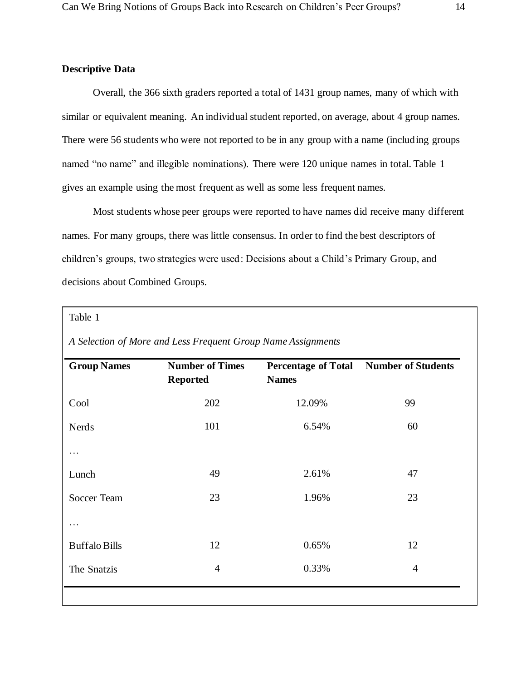#### **Descriptive Data**

Overall, the 366 sixth graders reported a total of 1431 group names, many of which with similar or equivalent meaning. An individual student reported, on average, about 4 group names. There were 56 students who were not reported to be in any group with a name (including groups named "no name" and illegible nominations). There were 120 unique names in total. Table 1 gives an example using the most frequent as well as some less frequent names.

Most students whose peer groups were reported to have names did receive many different names. For many groups, there was little consensus. In order to find the best descriptors of children's groups, two strategies were used: Decisions about a Child's Primary Group, and decisions about Combined Groups.

#### Table 1

|  |  |  | A Selection of More and Less Frequent Group Name Assignments |
|--|--|--|--------------------------------------------------------------|
|  |  |  |                                                              |

| <b>Group Names</b>   | <b>Number of Times</b><br><b>Reported</b> | <b>Names</b> | Percentage of Total Number of Students |
|----------------------|-------------------------------------------|--------------|----------------------------------------|
| Cool                 | 202                                       | 12.09%       | 99                                     |
| <b>Nerds</b>         | 101                                       | 6.54%        | 60                                     |
| .                    |                                           |              |                                        |
| Lunch                | 49                                        | 2.61%        | 47                                     |
| Soccer Team          | 23                                        | 1.96%        | 23                                     |
| .                    |                                           |              |                                        |
| <b>Buffalo Bills</b> | 12                                        | 0.65%        | 12                                     |
| The Snatzis          | $\overline{4}$                            | 0.33%        | $\overline{4}$                         |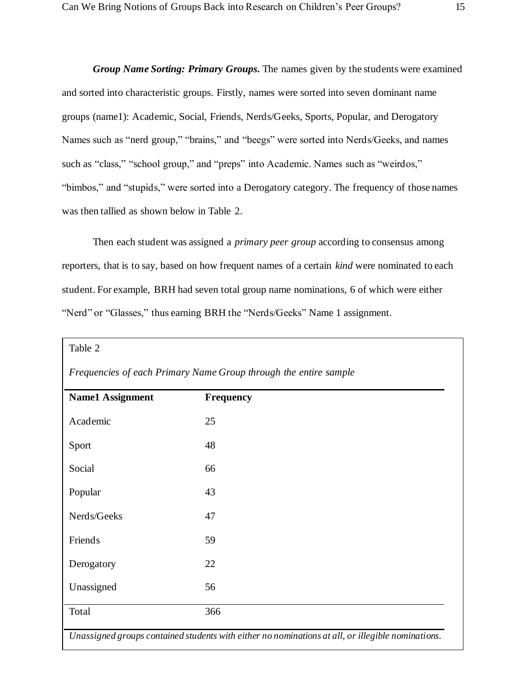*Group Name Sorting: Primary Groups***.** The names given by the students were examined and sorted into characteristic groups. Firstly, names were sorted into seven dominant name groups (name1): Academic, Social, Friends, Nerds/Geeks, Sports, Popular, and Derogatory Names such as "nerd group," "brains," and "beegs" were sorted into Nerds/Geeks, and names such as "class," "school group," and "preps" into Academic. Names such as "weirdos," "bimbos," and "stupids," were sorted into a Derogatory category. The frequency of those names was then tallied as shown below in Table 2.

Then each student was assigned a *primary peer group* according to consensus among reporters, that is to say, based on how frequent names of a certain *kind* were nominated to each student. For example, BRH had seven total group name nominations, 6 of which were either "Nerd" or "Glasses," thus earning BRH the "Nerds/Geeks" Name 1 assignment.

|                         | Frequencies of each Primary Name Group through the entire sample |  |
|-------------------------|------------------------------------------------------------------|--|
| <b>Name1 Assignment</b> | <b>Frequency</b>                                                 |  |
| Academic                | 25                                                               |  |
| Sport                   | 48                                                               |  |
| Social                  | 66                                                               |  |
| Popular                 | 43                                                               |  |
| Nerds/Geeks             | 47                                                               |  |
| Friends                 | 59                                                               |  |
| Derogatory              | 22                                                               |  |
| Unassigned              | 56                                                               |  |
| Total                   | 366                                                              |  |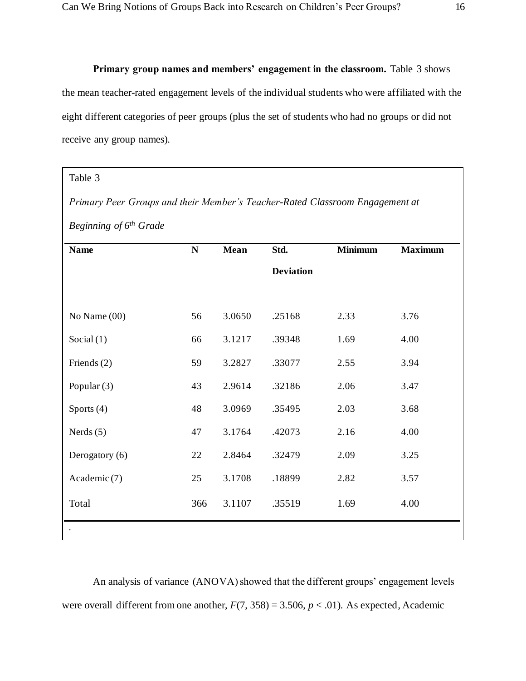#### **Primary group names and members' engagement in the classroom.** Table 3 shows

the mean teacher-rated engagement levels of the individual students who were affiliated with the eight different categories of peer groups (plus the set of students who had no groups or did not receive any group names).

#### Table 3

*Primary Peer Groups and their Member's Teacher-Rated Classroom Engagement at Beginning of 6th Grade*

| <b>Name</b>    | ${\bf N}$ | Mean   | Std.             | <b>Minimum</b> | <b>Maximum</b> |
|----------------|-----------|--------|------------------|----------------|----------------|
|                |           |        | <b>Deviation</b> |                |                |
|                |           |        |                  |                |                |
| No Name (00)   | 56        | 3.0650 | .25168           | 2.33           | 3.76           |
| Social $(1)$   | 66        | 3.1217 | .39348           | 1.69           | 4.00           |
| Friends $(2)$  | 59        | 3.2827 | .33077           | 2.55           | 3.94           |
| Popular $(3)$  | 43        | 2.9614 | .32186           | 2.06           | 3.47           |
| Sports (4)     | 48        | 3.0969 | .35495           | 2.03           | 3.68           |
| Nerds $(5)$    | 47        | 3.1764 | .42073           | 2.16           | 4.00           |
| Derogatory (6) | 22        | 2.8464 | .32479           | 2.09           | 3.25           |
| Academic (7)   | 25        | 3.1708 | .18899           | 2.82           | 3.57           |
| Total          | 366       | 3.1107 | .35519           | 1.69           | 4.00           |
|                |           |        |                  |                |                |

An analysis of variance (ANOVA) showed that the different groups' engagement levels were overall different from one another,  $F(7, 358) = 3.506$ ,  $p < .01$ ). As expected, Academic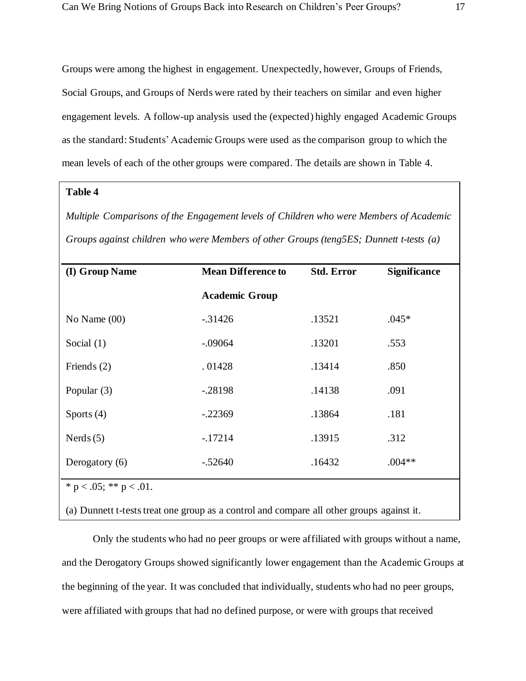Groups were among the highest in engagement. Unexpectedly, however, Groups of Friends, Social Groups, and Groups of Nerds were rated by their teachers on similar and even higher engagement levels. A follow-up analysis used the (expected) highly engaged Academic Groups as the standard: Students' Academic Groups were used as the comparison group to which the mean levels of each of the other groups were compared. The details are shown in Table 4.

#### **Table 4**

*Multiple Comparisons of the Engagement levels of Children who were Members of Academic Groups against children who were Members of other Groups (teng5ES; Dunnett t-tests (a)*

| (I) Group Name               | <b>Mean Difference to</b> | <b>Std. Error</b> | <b>Significance</b> |
|------------------------------|---------------------------|-------------------|---------------------|
|                              | <b>Academic Group</b>     |                   |                     |
| No Name $(00)$               | $-31426$                  | .13521            | $.045*$             |
| Social $(1)$                 | $-.09064$                 | .13201            | .553                |
| Friends $(2)$                | .01428                    | .13414            | .850                |
| Popular (3)                  | $-.28198$                 | .14138            | .091                |
| Sports $(4)$                 | $-.22369$                 | .13864            | .181                |
| Nerds $(5)$                  | $-17214$                  | .13915            | .312                |
| Derogatory (6)               | $-.52640$                 | .16432            | $.004**$            |
| * $p < .05$ ; ** $p < .01$ . |                           |                   |                     |

(a) Dunnett t-tests treat one group as a control and compare all other groups against it.

Only the students who had no peer groups or were affiliated with groups without a name, and the Derogatory Groups showed significantly lower engagement than the Academic Groups at the beginning of the year. It was concluded that individually, students who had no peer groups, were affiliated with groups that had no defined purpose, or were with groups that received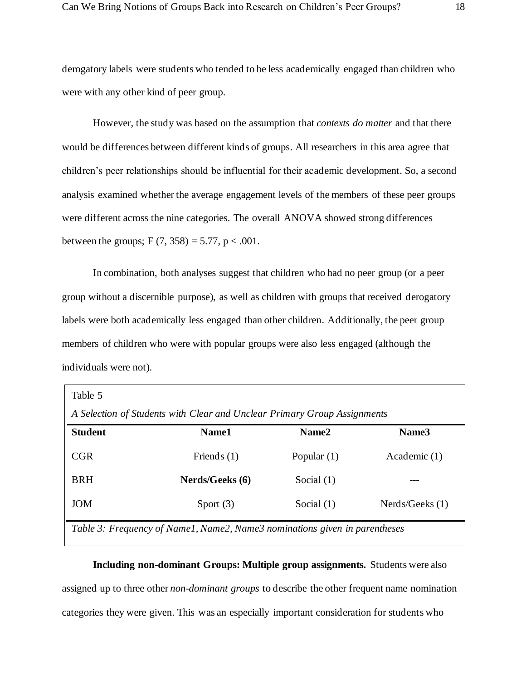derogatory labels were students who tended to be less academically engaged than children who were with any other kind of peer group.

However, the study was based on the assumption that *contexts do matter* and that there would be differences between different kinds of groups. All researchers in this area agree that children's peer relationships should be influential for their academic development. So, a second analysis examined whether the average engagement levels of the members of these peer groups were different across the nine categories. The overall ANOVA showed strong differences between the groups; F (7, 358) = 5.77, p < .001.

In combination, both analyses suggest that children who had no peer group (or a peer group without a discernible purpose), as well as children with groups that received derogatory labels were both academically less engaged than other children. Additionally, the peer group members of children who were with popular groups were also less engaged (although the individuals were not).

| Table 5                                                                  |                                                                            |               |                   |  |  |  |  |
|--------------------------------------------------------------------------|----------------------------------------------------------------------------|---------------|-------------------|--|--|--|--|
| A Selection of Students with Clear and Unclear Primary Group Assignments |                                                                            |               |                   |  |  |  |  |
| <b>Student</b>                                                           | Name1                                                                      | Name2         | Name <sub>3</sub> |  |  |  |  |
| <b>CGR</b>                                                               | Friends $(1)$                                                              | Popular $(1)$ | Academic (1)      |  |  |  |  |
| <b>BRH</b>                                                               | Nerds/Geeks (6)                                                            | Social $(1)$  |                   |  |  |  |  |
| JOM                                                                      | Sport $(3)$                                                                | Social $(1)$  | Nerds/Geeks(1)    |  |  |  |  |
|                                                                          | Table 3: Frequency of Name1, Name2, Name3 nominations given in parentheses |               |                   |  |  |  |  |

**Including non-dominant Groups: Multiple group assignments.** Students were also assigned up to three other *non-dominant groups* to describe the other frequent name nomination categories they were given. This was an especially important consideration for students who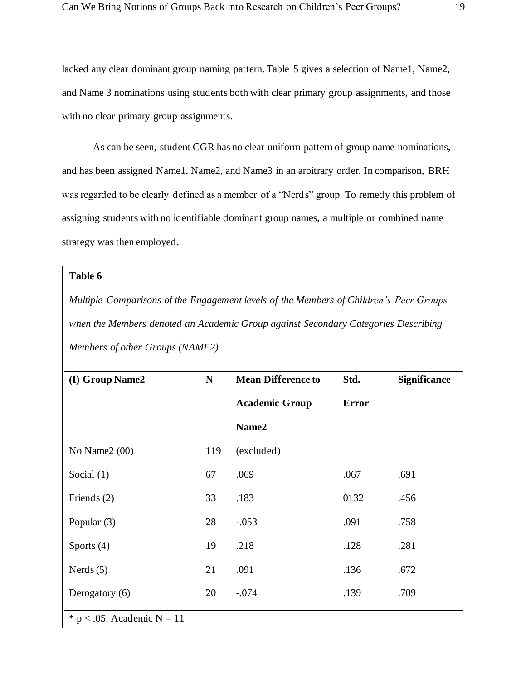lacked any clear dominant group naming pattern. Table 5 gives a selection of Name1, Name2, and Name 3 nominations using students both with clear primary group assignments, and those with no clear primary group assignments.

As can be seen, student CGR has no clear uniform pattern of group name nominations, and has been assigned Name1, Name2, and Name3 in an arbitrary order. In comparison, BRH was regarded to be clearly defined as a member of a "Nerds" group. To remedy this problem of assigning students with no identifiable dominant group names, a multiple or combined name strategy was then employed.

#### **Table 6**

*Multiple Comparisons of the Engagement levels of the Members of Children's Peer Groups when the Members denoted an Academic Group against Secondary Categories Describing Members of other Groups (NAME2)* 

| (I) Group Name2               | $\mathbf N$ | <b>Mean Difference to</b> | Std.         | <b>Significance</b> |  |
|-------------------------------|-------------|---------------------------|--------------|---------------------|--|
|                               |             | <b>Academic Group</b>     | <b>Error</b> |                     |  |
|                               |             | Name2                     |              |                     |  |
| No Name $2(00)$               | 119         | (excluded)                |              |                     |  |
| Social $(1)$                  | 67          | .069                      | .067         | .691                |  |
| Friends (2)                   | 33          | .183                      | 0132         | .456                |  |
| Popular (3)                   | 28          | $-0.053$                  | .091         | .758                |  |
| Sports $(4)$                  | 19          | .218                      | .128         | .281                |  |
| Nerds $(5)$                   | 21          | .091                      | .136         | .672                |  |
| Derogatory (6)                | 20          | $-.074$                   | .139         | .709                |  |
| * $p < .05$ . Academic N = 11 |             |                           |              |                     |  |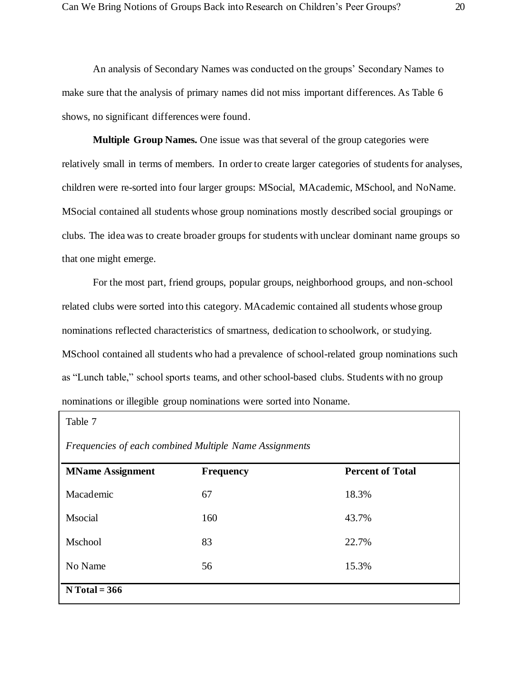An analysis of Secondary Names was conducted on the groups' Secondary Names to make sure that the analysis of primary names did not miss important differences. As Table 6 shows, no significant differences were found.

**Multiple Group Names.** One issue was that several of the group categories were relatively small in terms of members. In order to create larger categories of students for analyses, children were re-sorted into four larger groups: MSocial, MAcademic, MSchool, and NoName. MSocial contained all students whose group nominations mostly described social groupings or clubs. The idea was to create broader groups for students with unclear dominant name groups so that one might emerge.

For the most part, friend groups, popular groups, neighborhood groups, and non-school related clubs were sorted into this category. MAcademic contained all students whose group nominations reflected characteristics of smartness, dedication to schoolwork, or studying. MSchool contained all students who had a prevalence of school-related group nominations such as "Lunch table," school sports teams, and other school-based clubs. Students with no group nominations or illegible group nominations were sorted into Noname.

| Table 7                                                |                  |                         |  |  |  |  |  |
|--------------------------------------------------------|------------------|-------------------------|--|--|--|--|--|
| Frequencies of each combined Multiple Name Assignments |                  |                         |  |  |  |  |  |
| <b>MName Assignment</b>                                | <b>Frequency</b> | <b>Percent of Total</b> |  |  |  |  |  |
| Macademic                                              | 67               | 18.3%                   |  |  |  |  |  |
| Msocial                                                | 160              | 43.7%                   |  |  |  |  |  |
| Mschool                                                | 83               | 22.7%                   |  |  |  |  |  |
| No Name                                                | 56               | 15.3%                   |  |  |  |  |  |
| $N Total = 366$                                        |                  |                         |  |  |  |  |  |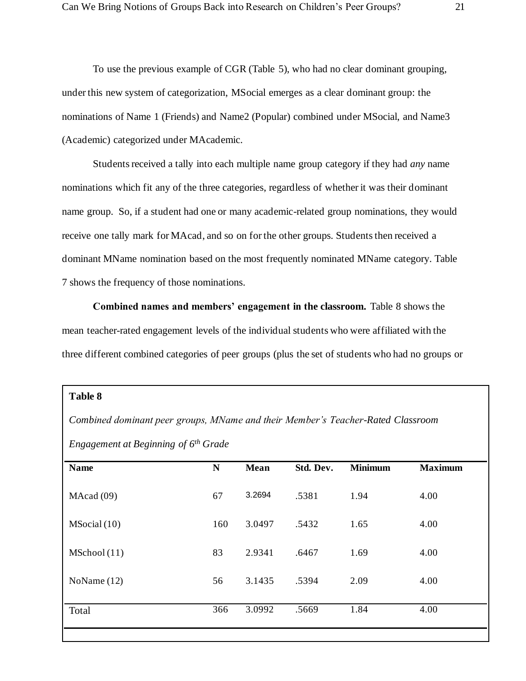To use the previous example of CGR (Table 5), who had no clear dominant grouping, under this new system of categorization, MSocial emerges as a clear dominant group: the nominations of Name 1 (Friends) and Name2 (Popular) combined under MSocial, and Name3 (Academic) categorized under MAcademic.

Students received a tally into each multiple name group category if they had *any* name nominations which fit any of the three categories, regardless of whether it was their dominant name group. So, if a student had one or many academic-related group nominations, they would receive one tally mark for MAcad, and so on for the other groups. Students then received a dominant MName nomination based on the most frequently nominated MName category. Table 7 shows the frequency of those nominations.

**Combined names and members' engagement in the classroom.** Table 8 shows the mean teacher-rated engagement levels of the individual students who were affiliated with the three different combined categories of peer groups (plus the set of students who had no groups or

#### **Table 8**

*Combined dominant peer groups, MName and their Member's Teacher-Rated Classroom* 

*Engagement at Beginning of 6th Grade*

| <b>Name</b>   | N   | <b>Mean</b> | Std. Dev. | <b>Minimum</b> | <b>Maximum</b> |
|---------------|-----|-------------|-----------|----------------|----------------|
| MAcad(09)     | 67  | 3.2694      | .5381     | 1.94           | 4.00           |
| MSocial (10)  | 160 | 3.0497      | .5432     | 1.65           | 4.00           |
| MSchool (11)  | 83  | 2.9341      | .6467     | 1.69           | 4.00           |
| NoName $(12)$ | 56  | 3.1435      | .5394     | 2.09           | 4.00           |
| Total         | 366 | 3.0992      | .5669     | 1.84           | 4.00           |
|               |     |             |           |                |                |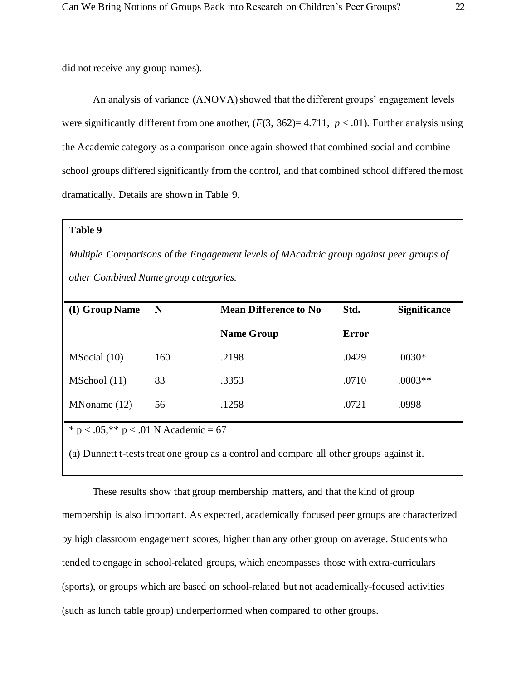did not receive any group names).

An analysis of variance (ANOVA) showed that the different groups' engagement levels were significantly different from one another,  $(F(3, 362)=4.711, p < .01)$ . Further analysis using the Academic category as a comparison once again showed that combined social and combine school groups differed significantly from the control, and that combined school differed the most dramatically. Details are shown in Table 9.

#### **Table 9**

*Multiple Comparisons of the Engagement levels of MAcadmic group against peer groups of other Combined Name group categories.*

| (I) Group Name                             | N   | <b>Mean Difference to No</b> | Std.  | <b>Significance</b> |  |  |  |
|--------------------------------------------|-----|------------------------------|-------|---------------------|--|--|--|
|                                            |     | <b>Name Group</b>            | Error |                     |  |  |  |
| MSocial (10)                               | 160 | .2198                        | .0429 | $.0030*$            |  |  |  |
| MSchool (11)                               | 83  | .3353                        | .0710 | $.0003**$           |  |  |  |
| MNoname(12)                                | 56  | .1258                        | .0721 | .0998               |  |  |  |
| $* p < .05$ : ** $p < .01$ N Academic = 67 |     |                              |       |                     |  |  |  |

 $* p < .05; ** p < .01 N Academic = 67$ 

(a) Dunnett t-tests treat one group as a control and compare all other groups against it.

These results show that group membership matters, and that the kind of group membership is also important. As expected, academically focused peer groups are characterized by high classroom engagement scores, higher than any other group on average. Students who tended to engage in school-related groups, which encompasses those with extra-curriculars (sports), or groups which are based on school-related but not academically-focused activities (such as lunch table group) underperformed when compared to other groups.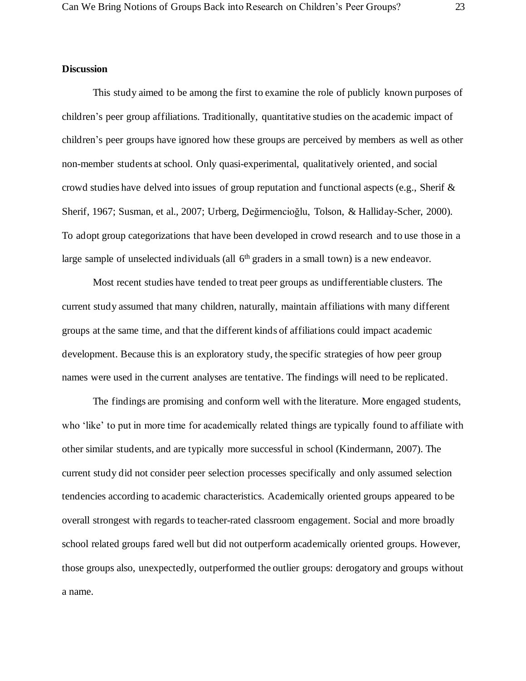#### **Discussion**

This study aimed to be among the first to examine the role of publicly known purposes of children's peer group affiliations. Traditionally, quantitative studies on the academic impact of children's peer groups have ignored how these groups are perceived by members as well as other non-member students at school. Only quasi-experimental, qualitatively oriented, and social crowd studies have delved into issues of group reputation and functional aspects (e.g., Sherif  $\&$ Sherif, 1967; Susman, et al., 2007; Urberg, Değirmencioğlu, Tolson, & Halliday-Scher, 2000). To adopt group categorizations that have been developed in crowd research and to use those in a large sample of unselected individuals (all 6<sup>th</sup> graders in a small town) is a new endeavor.

Most recent studies have tended to treat peer groups as undifferentiable clusters. The current study assumed that many children, naturally, maintain affiliations with many different groups at the same time, and that the different kinds of affiliations could impact academic development. Because this is an exploratory study, the specific strategies of how peer group names were used in the current analyses are tentative. The findings will need to be replicated.

The findings are promising and conform well with the literature. More engaged students, who 'like' to put in more time for academically related things are typically found to affiliate with other similar students, and are typically more successful in school (Kindermann, 2007). The current study did not consider peer selection processes specifically and only assumed selection tendencies according to academic characteristics. Academically oriented groups appeared to be overall strongest with regards to teacher-rated classroom engagement. Social and more broadly school related groups fared well but did not outperform academically oriented groups. However, those groups also, unexpectedly, outperformed the outlier groups: derogatory and groups without a name.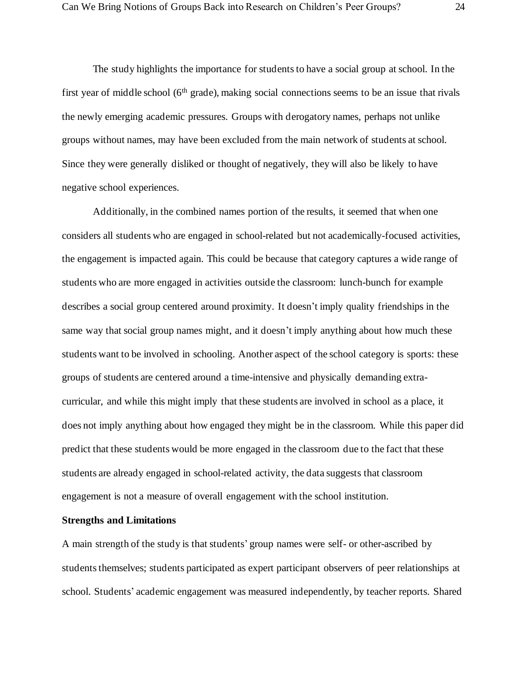The study highlights the importance for students to have a social group at school. In the first year of middle school  $(6<sup>th</sup> grade)$ , making social connections seems to be an issue that rivals the newly emerging academic pressures. Groups with derogatory names, perhaps not unlike groups without names, may have been excluded from the main network of students at school. Since they were generally disliked or thought of negatively, they will also be likely to have negative school experiences.

Additionally, in the combined names portion of the results, it seemed that when one considers all students who are engaged in school-related but not academically-focused activities, the engagement is impacted again. This could be because that category captures a wide range of students who are more engaged in activities outside the classroom: lunch-bunch for example describes a social group centered around proximity. It doesn't imply quality friendships in the same way that social group names might, and it doesn't imply anything about how much these students want to be involved in schooling. Another aspect of the school category is sports: these groups of students are centered around a time-intensive and physically demanding extracurricular, and while this might imply that these students are involved in school as a place, it does not imply anything about how engaged they might be in the classroom. While this paper did predict that these students would be more engaged in the classroom due to the fact that these students are already engaged in school-related activity, the data suggests that classroom engagement is not a measure of overall engagement with the school institution.

#### **Strengths and Limitations**

A main strength of the study is that students' group names were self- or other-ascribed by students themselves; students participated as expert participant observers of peer relationships at school. Students' academic engagement was measured independently, by teacher reports. Shared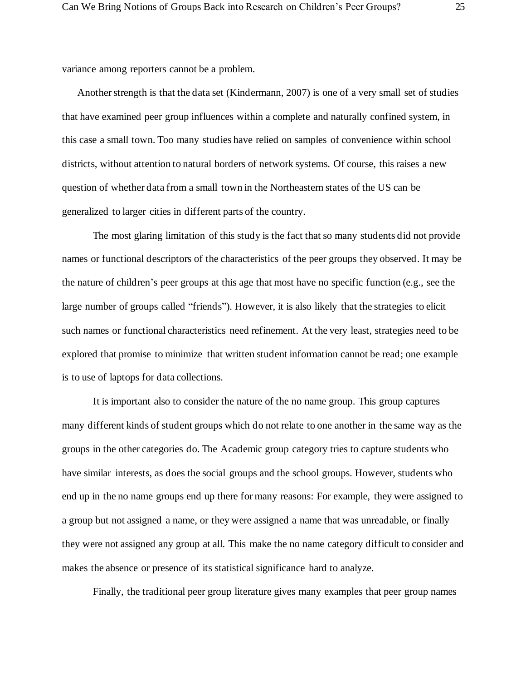variance among reporters cannot be a problem.

Another strength is that the data set (Kindermann, 2007) is one of a very small set of studies that have examined peer group influences within a complete and naturally confined system, in this case a small town. Too many studies have relied on samples of convenience within school districts, without attention to natural borders of network systems. Of course, this raises a new question of whether data from a small town in the Northeastern states of the US can be generalized to larger cities in different parts of the country.

The most glaring limitation of this study is the fact that so many students did not provide names or functional descriptors of the characteristics of the peer groups they observed. It may be the nature of children's peer groups at this age that most have no specific function (e.g., see the large number of groups called "friends"). However, it is also likely that the strategies to elicit such names or functional characteristics need refinement. At the very least, strategies need to be explored that promise to minimize that written student information cannot be read; one example is to use of laptops for data collections.

It is important also to consider the nature of the no name group. This group captures many different kinds of student groups which do not relate to one another in the same way as the groups in the other categories do. The Academic group category tries to capture students who have similar interests, as does the social groups and the school groups. However, students who end up in the no name groups end up there for many reasons: For example, they were assigned to a group but not assigned a name, or they were assigned a name that was unreadable, or finally they were not assigned any group at all. This make the no name category difficult to consider and makes the absence or presence of its statistical significance hard to analyze.

Finally, the traditional peer group literature gives many examples that peer group names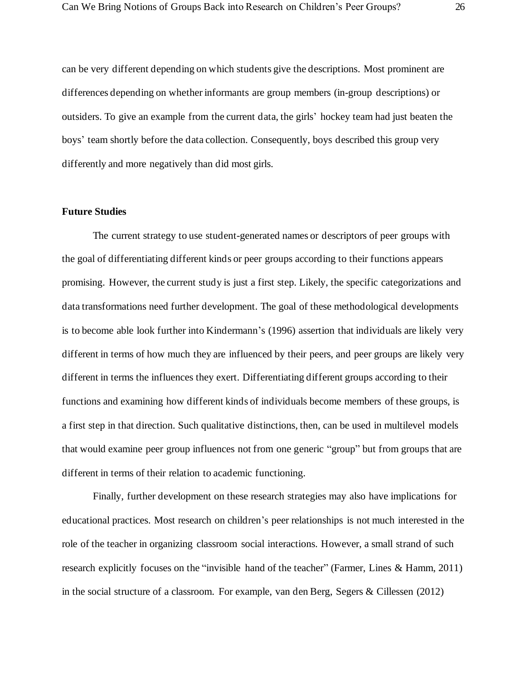can be very different depending on which students give the descriptions. Most prominent are differences depending on whether informants are group members (in-group descriptions) or outsiders. To give an example from the current data, the girls' hockey team had just beaten the boys' team shortly before the data collection. Consequently, boys described this group very differently and more negatively than did most girls.

#### **Future Studies**

The current strategy to use student-generated names or descriptors of peer groups with the goal of differentiating different kinds or peer groups according to their functions appears promising. However, the current study is just a first step. Likely, the specific categorizations and data transformations need further development. The goal of these methodological developments is to become able look further into Kindermann's (1996) assertion that individuals are likely very different in terms of how much they are influenced by their peers, and peer groups are likely very different in terms the influences they exert. Differentiating different groups according to their functions and examining how different kinds of individuals become members of these groups, is a first step in that direction. Such qualitative distinctions, then, can be used in multilevel models that would examine peer group influences not from one generic "group" but from groups that are different in terms of their relation to academic functioning.

Finally, further development on these research strategies may also have implications for educational practices. Most research on children's peer relationships is not much interested in the role of the teacher in organizing classroom social interactions. However, a small strand of such research explicitly focuses on the "invisible hand of the teacher" (Farmer, Lines & Hamm, 2011) in the social structure of a classroom. For example, van den Berg, Segers & Cillessen (2012)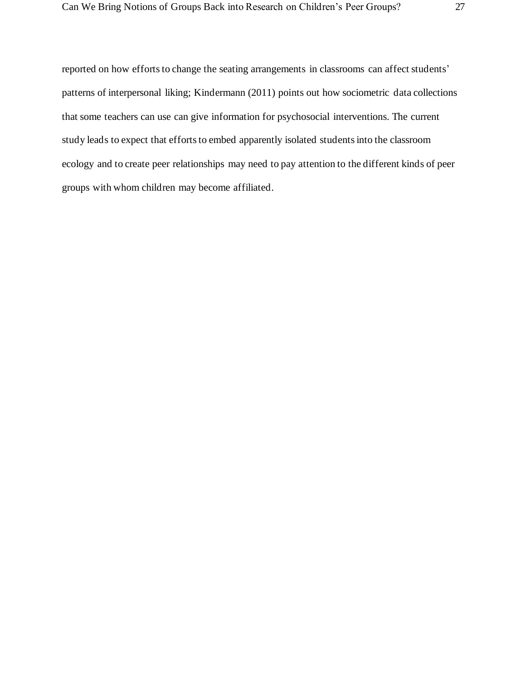reported on how efforts to change the seating arrangements in classrooms can affect students' patterns of interpersonal liking; Kindermann (2011) points out how sociometric data collections that some teachers can use can give information for psychosocial interventions. The current study leads to expect that efforts to embed apparently isolated students into the classroom ecology and to create peer relationships may need to pay attention to the different kinds of peer groups with whom children may become affiliated.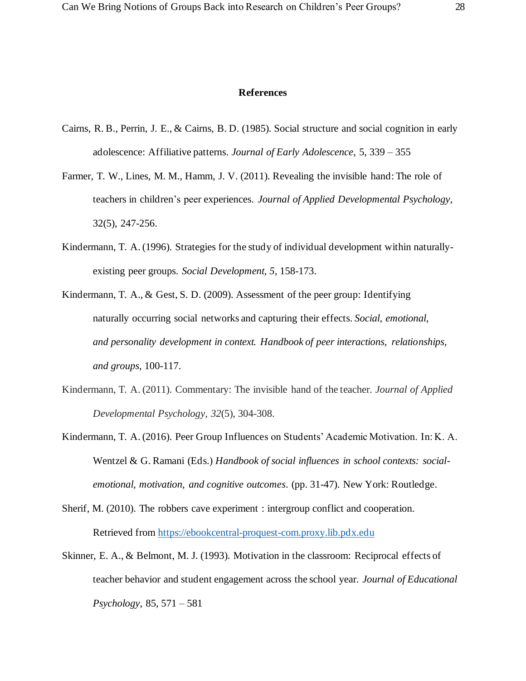#### **References**

- Cairns, R. B., Perrin, J. E., & Cairns, B. D. (1985). Social structure and social cognition in early adolescence: Affiliative patterns. *Journal of Early Adolescence*, 5, 339 – 355
- Farmer, T. W., Lines, M. M., Hamm, J. V. (2011). Revealing the invisible hand: The role of teachers in children's peer experiences. *Journal of Applied Developmental Psychology*, 32(5), 247-256.
- Kindermann, T. A. (1996). Strategies for the study of individual development within naturallyexisting peer groups. *Social Development, 5*, 158-173.
- Kindermann, T. A., & Gest, S. D. (2009). Assessment of the peer group: Identifying naturally occurring social networks and capturing their effects*. Social, emotional, and personality development in context. Handbook of peer interactions, relationships, and groups*, 100-117.
- Kindermann, T. A. (2011). Commentary: The invisible hand of the teacher. *Journal of Applied Developmental Psychology*, *32*(5), 304-308.
- Kindermann, T. A. (2016). Peer Group Influences on Students' Academic Motivation. In: K. A. Wentzel & G. Ramani (Eds.) *Handbook of social influences in school contexts: socialemotional, motivation, and cognitive outcomes*. (pp. 31-47). New York: Routledge.
- Sherif, M. (2010). The robbers cave experiment : intergroup conflict and cooperation. Retrieved from [https://ebookcentral-proquest-com.proxy.lib.pdx.edu](https://ebookcentral-proquest-com.proxy.lib.pdx.edu/)
- Skinner, E. A., & Belmont, M. J. (1993). Motivation in the classroom: Reciprocal effects of teacher behavior and student engagement across the school year. *Journal of Educational Psychology*, 85, 571 – 581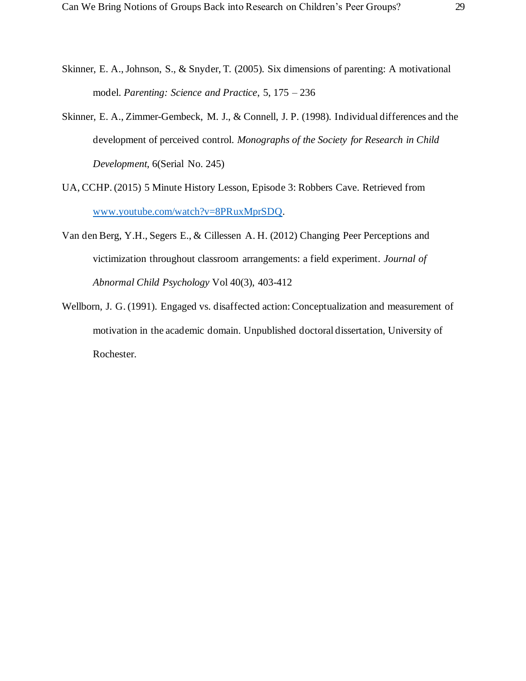- Skinner, E. A., Johnson, S., & Snyder, T. (2005). Six dimensions of parenting: A motivational model. *Parenting: Science and Practice*, 5, 175 – 236
- Skinner, E. A., Zimmer-Gembeck, M. J., & Connell, J. P. (1998). Individual differences and the development of perceived control. *Monographs of the Society for Research in Child Development*, 6(Serial No. 245)
- UA, CCHP. (2015) 5 Minute History Lesson, Episode 3: Robbers Cave. Retrieved from [www.youtube.com/watch?v=8PRuxMprSDQ.](http://www.youtube.com/watch?v=8PRuxMprSDQ)
- Van den Berg, Y.H., Segers E., & Cillessen A. H. (2012) Changing Peer Perceptions and victimization throughout classroom arrangements: a field experiment. *Journal of Abnormal Child Psychology* Vol 40(3), 403-412
- Wellborn, J. G. (1991). Engaged vs. disaffected action: Conceptualization and measurement of motivation in the academic domain. Unpublished doctoral dissertation, University of Rochester.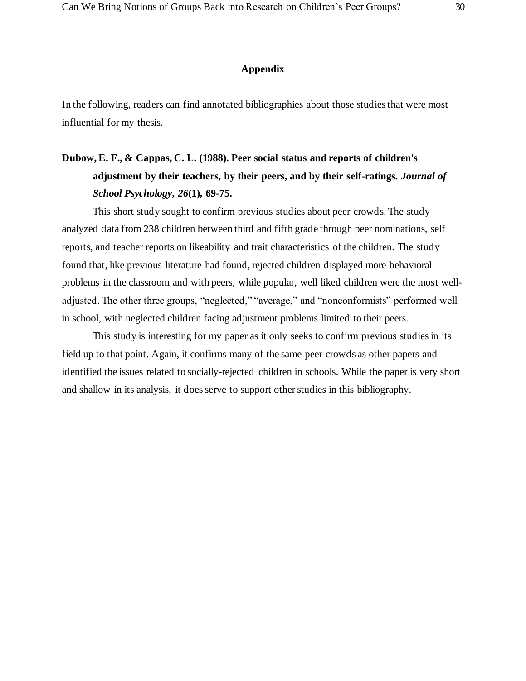#### **Appendix**

In the following, readers can find annotated bibliographies about those studies that were most influential for my thesis.

### **Dubow, E. F., & Cappas, C. L. (1988). Peer social status and reports of children's adjustment by their teachers, by their peers, and by their self-ratings.** *Journal of School Psychology***,** *26***(1), 69-75.**

This short study sought to confirm previous studies about peer crowds. The study analyzed data from 238 children between third and fifth grade through peer nominations, self reports, and teacher reports on likeability and trait characteristics of the children. The study found that, like previous literature had found, rejected children displayed more behavioral problems in the classroom and with peers, while popular, well liked children were the most welladjusted. The other three groups, "neglected," "average," and "nonconformists" performed well in school, with neglected children facing adjustment problems limited to their peers.

This study is interesting for my paper as it only seeks to confirm previous studies in its field up to that point. Again, it confirms many of the same peer crowds as other papers and identified the issues related to socially-rejected children in schools. While the paper is very short and shallow in its analysis, it does serve to support other studies in this bibliography.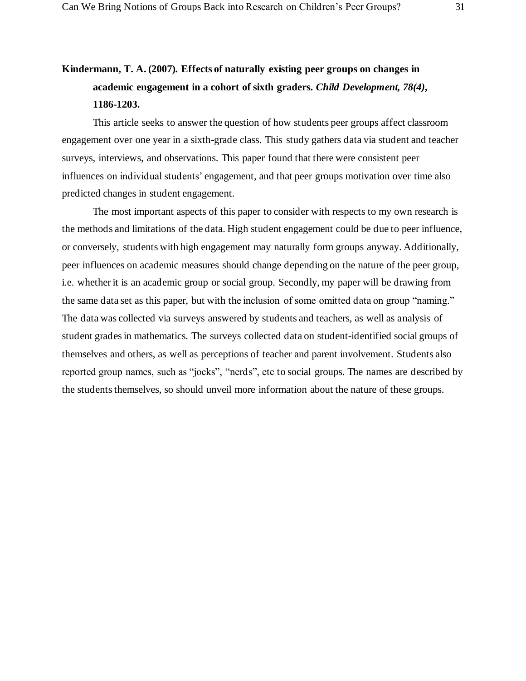### **Kindermann, T. A. (2007). Effects of naturally existing peer groups on changes in academic engagement in a cohort of sixth graders.** *Child Development, 78(4)***, 1186-1203.**

This article seeks to answer the question of how students peer groups affect classroom engagement over one year in a sixth-grade class. This study gathers data via student and teacher surveys, interviews, and observations. This paper found that there were consistent peer influences on individual students' engagement, and that peer groups motivation over time also predicted changes in student engagement.

The most important aspects of this paper to consider with respects to my own research is the methods and limitations of the data. High student engagement could be due to peer influence, or conversely, students with high engagement may naturally form groups anyway. Additionally, peer influences on academic measures should change depending on the nature of the peer group, i.e. whether it is an academic group or social group. Secondly, my paper will be drawing from the same data set as this paper, but with the inclusion of some omitted data on group "naming." The data was collected via surveys answered by students and teachers, as well as analysis of student grades in mathematics. The surveys collected data on student-identified social groups of themselves and others, as well as perceptions of teacher and parent involvement. Students also reported group names, such as "jocks", "nerds", etc to social groups. The names are described by the students themselves, so should unveil more information about the nature of these groups.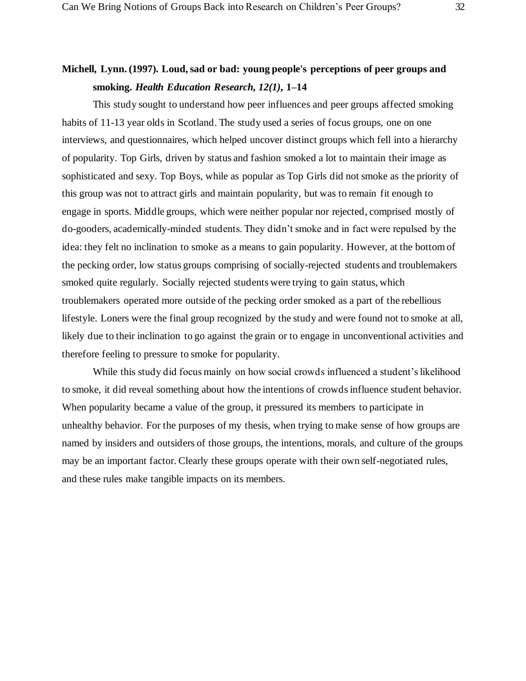### **Michell, Lynn. (1997). Loud, sad or bad: young people's perceptions of peer groups and smoking.** *Health Education Research, 12(1)***, 1–14**

This study sought to understand how peer influences and peer groups affected smoking habits of 11-13 year olds in Scotland. The study used a series of focus groups, one on one interviews, and questionnaires, which helped uncover distinct groups which fell into a hierarchy of popularity. Top Girls, driven by status and fashion smoked a lot to maintain their image as sophisticated and sexy. Top Boys, while as popular as Top Girls did not smoke as the priority of this group was not to attract girls and maintain popularity, but was to remain fit enough to engage in sports. Middle groups, which were neither popular nor rejected, comprised mostly of do-gooders, academically-minded students. They didn't smoke and in fact were repulsed by the idea: they felt no inclination to smoke as a means to gain popularity. However, at the bottom of the pecking order, low status groups comprising of socially-rejected students and troublemakers smoked quite regularly. Socially rejected students were trying to gain status, which troublemakers operated more outside of the pecking order smoked as a part of the rebellious lifestyle. Loners were the final group recognized by the study and were found not to smoke at all, likely due to their inclination to go against the grain or to engage in unconventional activities and therefore feeling to pressure to smoke for popularity.

While this study did focus mainly on how social crowds influenced a student's likelihood to smoke, it did reveal something about how the intentions of crowds influence student behavior. When popularity became a value of the group, it pressured its members to participate in unhealthy behavior. For the purposes of my thesis, when trying to make sense of how groups are named by insiders and outsiders of those groups, the intentions, morals, and culture of the groups may be an important factor. Clearly these groups operate with their own self-negotiated rules, and these rules make tangible impacts on its members.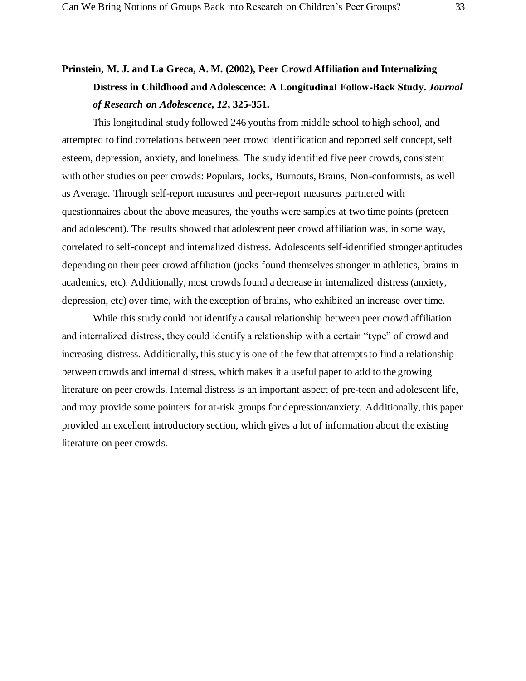### **Prinstein, M. J. and La Greca, A. M. (2002), Peer Crowd Affiliation and Internalizing Distress in Childhood and Adolescence: A Longitudinal Follow‐Back Study.** *Journal of Research on Adolescence, 12***, 325-351.**

This longitudinal study followed 246 youths from middle school to high school, and attempted to find correlations between peer crowd identification and reported self concept, self esteem, depression, anxiety, and loneliness. The study identified five peer crowds, consistent with other studies on peer crowds: Populars, Jocks, Burnouts, Brains, Non-conformists, as well as Average. Through self-report measures and peer-report measures partnered with questionnaires about the above measures, the youths were samples at two time points (preteen and adolescent). The results showed that adolescent peer crowd affiliation was, in some way, correlated to self-concept and internalized distress. Adolescents self-identified stronger aptitudes depending on their peer crowd affiliation (jocks found themselves stronger in athletics, brains in academics, etc). Additionally, most crowds found a decrease in internalized distress (anxiety, depression, etc) over time, with the exception of brains, who exhibited an increase over time.

While this study could not identify a causal relationship between peer crowd affiliation and internalized distress, they could identify a relationship with a certain "type" of crowd and increasing distress. Additionally, this study is one of the few that attempts to find a relationship between crowds and internal distress, which makes it a useful paper to add to the growing literature on peer crowds. Internal distress is an important aspect of pre-teen and adolescent life, and may provide some pointers for at-risk groups for depression/anxiety. Additionally, this paper provided an excellent introductory section, which gives a lot of information about the existing literature on peer crowds.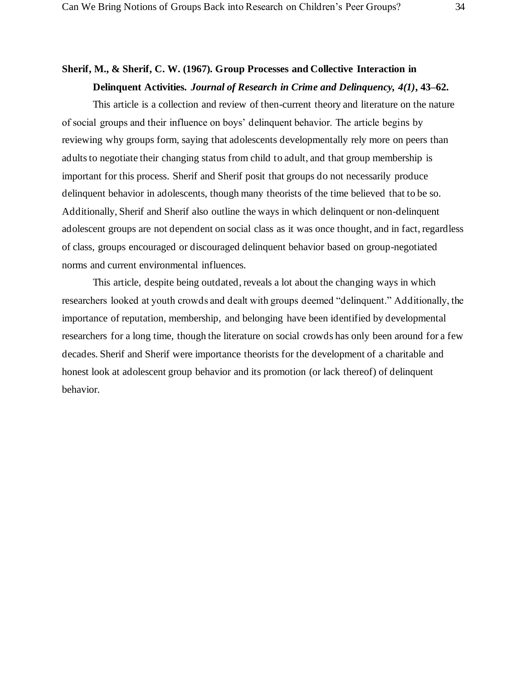### **Sherif, M., & Sherif, C. W. (1967). Group Processes and Collective Interaction in Delinquent Activities.** *Journal of Research in Crime and Delinquency, 4(1)***, 43–62.**

This article is a collection and review of then-current theory and literature on the nature of social groups and their influence on boys' delinquent behavior. The article begins by reviewing why groups form, saying that adolescents developmentally rely more on peers than adults to negotiate their changing status from child to adult, and that group membership is important for this process. Sherif and Sherif posit that groups do not necessarily produce delinquent behavior in adolescents, though many theorists of the time believed that to be so. Additionally, Sherif and Sherif also outline the ways in which delinquent or non-delinquent adolescent groups are not dependent on social class as it was once thought, and in fact, regardless of class, groups encouraged or discouraged delinquent behavior based on group-negotiated norms and current environmental influences.

This article, despite being outdated, reveals a lot about the changing ways in which researchers looked at youth crowds and dealt with groups deemed "delinquent." Additionally, the importance of reputation, membership, and belonging have been identified by developmental researchers for a long time, though the literature on social crowds has only been around for a few decades. Sherif and Sherif were importance theorists for the development of a charitable and honest look at adolescent group behavior and its promotion (or lack thereof) of delinquent behavior.